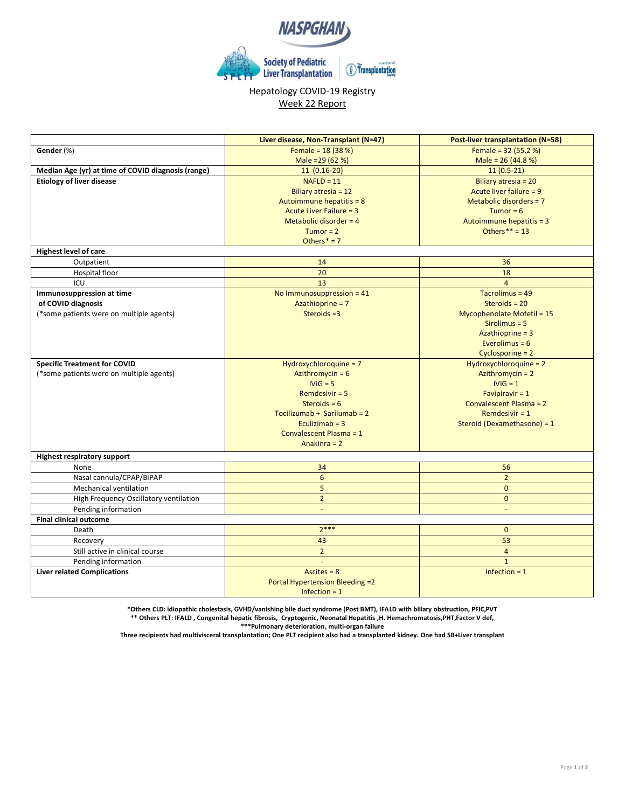

## Hepatology COVID-19 Registry Week 22 Report

|                                                    | Liver disease, Non-Transplant (N=47) | <b>Post-liver transplantation (N=58)</b> |
|----------------------------------------------------|--------------------------------------|------------------------------------------|
| Gender (%)                                         | Female = $18(38%)$                   | Female = $32(55.2%)$                     |
|                                                    | Male = $29(62%)$                     | Male = $26(44.8%)$                       |
| Median Age (yr) at time of COVID diagnosis (range) | $11(0.16-20)$                        | $11(0.5-21)$                             |
| <b>Etiology of liver disease</b>                   | $NAFLD = 11$                         | Biliary atresia = 20                     |
|                                                    | Biliary atresia = 12                 | Acute liver failure = 9                  |
|                                                    | Autoimmune hepatitis = 8             | Metabolic disorders $= 7$                |
|                                                    | Acute Liver Failure = 3              | Tumor = $6$                              |
|                                                    | Metabolic disorder = $4$             | Autoimmune hepatitis = 3                 |
|                                                    | Tumor = $2$                          | Others ** = $13$                         |
|                                                    | Others $* = 7$                       |                                          |
| <b>Highest level of care</b>                       |                                      |                                          |
| Outpatient                                         | 14                                   | 36                                       |
| Hospital floor                                     | 20                                   | 18                                       |
| ICU                                                | 13                                   | $\overline{a}$                           |
| Immunosuppression at time                          | No Immunosuppression = 41            | Tacrolimus = 49                          |
| of COVID diagnosis                                 | Azathioprine = 7                     | Steroids = $20$                          |
| (*some patients were on multiple agents)           | Steroids $=3$                        | Mycophenolate Mofetil = 15               |
|                                                    |                                      | $Sirolimus = 5$                          |
|                                                    |                                      | Azathioprine $=$ 3                       |
|                                                    |                                      | Everolimus = $6$                         |
|                                                    |                                      | Cyclosporine = 2                         |
| <b>Specific Treatment for COVID</b>                | Hydroxychloroquine = 7               | Hydroxychloroquine = $2$                 |
| (*some patients were on multiple agents)           | Azithromycin = $6$                   | Azithromycin = 2                         |
|                                                    | $IVIG = 5$                           | $IVIG = 1$                               |
|                                                    | Remdesivir $= 5$                     | Favipiravir $= 1$                        |
|                                                    | Steroids = $6$                       | Convalescent Plasma = 2                  |
|                                                    | Tocilizumab + Sarilumab = $2$        | Remdesivir $= 1$                         |
|                                                    | Eculizimab $=$ 3                     | Steroid (Dexamethasone) = 1              |
|                                                    | Convalescent Plasma = 1              |                                          |
|                                                    | Anakinra = 2                         |                                          |
| <b>Highest respiratory support</b>                 |                                      |                                          |
| None                                               | 34                                   | 56                                       |
| Nasal cannula/CPAP/BiPAP                           | $6\phantom{a}$                       | $\overline{2}$                           |
| Mechanical ventilation                             | 5                                    | $\mathbf{0}$                             |
| High Frequency Oscillatory ventilation             | $\overline{2}$                       | $\Omega$                                 |
| Pending information                                | ÷,                                   |                                          |
| <b>Final clinical outcome</b>                      |                                      |                                          |
| Death                                              | $2***$                               | $\mathbf{0}$                             |
| Recovery                                           | 43                                   | 53                                       |
| Still active in clinical course                    | 2 <sup>2</sup>                       | $\overline{4}$                           |
| Pending information                                |                                      | $\mathbf{1}$                             |
| <b>Liver related Complications</b>                 | Ascites $= 8$                        | Infection $= 1$                          |
|                                                    | Portal Hypertension Bleeding =2      |                                          |
|                                                    | Infection $= 1$                      |                                          |
|                                                    |                                      |                                          |

**\*Others CLD: idiopathic cholestasis, GVHD/vanishing bile duct syndrome (Post BMT), IFALD with biliary obstruction, PFIC,PVT \*\* Others PLT: IFALD , Congenital hepatic fibrosis, Cryptogenic, Neonatal Hepatitis ,H. Hemachromatosis,PHT,Factor V def, \*\*\*Pulmonary deterioration, multi-organ failure**

**Three recipients had multivisceral transplantation; One PLT recipient also had a transplanted kidney. One had SB+Liver transplant**